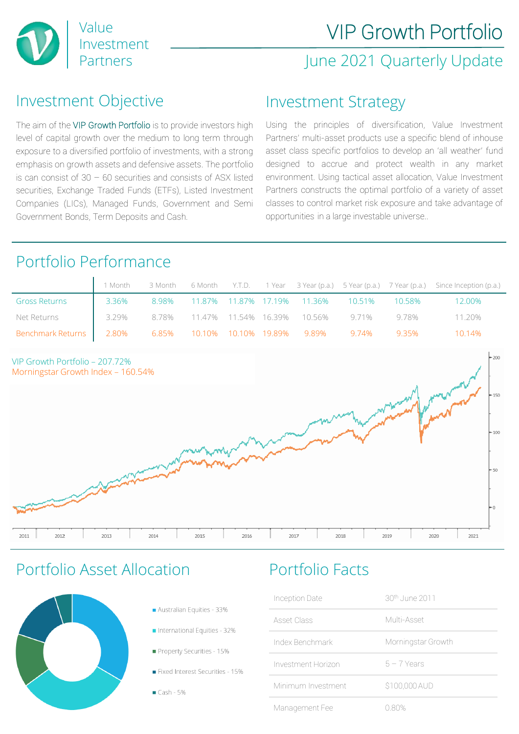

### June 2021 Quarterly Update

### Investment Objective

The aim of the VIP Growth Portfolio is to provide investors high level of capital growth over the medium to long term through exposure to a diversified portfolio of investments, with a strong emphasis on growth assets and defensive assets. The portfolio is can consist of  $30 - 60$  securities and consists of ASX listed securities, Exchange Traded Funds (ETFs), Listed Investment Companies (LICs), Managed Funds, Government and Semi Government Bonds, Term Deposits and Cash.

### Investment Strategy

Using the principles of diversification, Value Investment Partners' multi-asset products use a specific blend of inhouse asset class specific portfolios to develop an 'all weather' fund designed to accrue and protect wealth in any market environment. Using tactical asset allocation, Value Investment Partners constructs the optimal portfolio of a variety of asset classes to control market risk exposure and take advantage of opportunities in a large investable universe..

### Portfolio Performance

|                                                                            |            |  |  |                                                       | 1 Month 3 Month 6 Month Y.T.D. 1 Year 3 Year (p.a.) 5 Year (p.a.) 7 Year (p.a.) Since Inception (p.a.) |
|----------------------------------------------------------------------------|------------|--|--|-------------------------------------------------------|--------------------------------------------------------------------------------------------------------|
| <b>Gross Returns</b>                                                       | $1 3.36\%$ |  |  | 8.98%  11.87%  11.87%  17.19%  11.36%  10.51%  10.58% | 12.00%                                                                                                 |
| Net Returns 1988 129% 8.78% 11.47% 11.54% 16.39% 10.56% 9.71% 9.78% 11.20% |            |  |  |                                                       |                                                                                                        |
| Benchmark Returns   2.80% 6.85% 10.10% 10.10% 19.89% 9.89% 9.74% 9.35%     |            |  |  |                                                       | 10.14%                                                                                                 |



### Portfolio Asset Allocation Portfolio Facts



- Australian Equities 33%
- International Equities 32%
- Property Securities 15%
- Fixed Interest Securities 15%
- $Cash 5%$

| Inception Date     | 30 <sup>th</sup> June 2011 |
|--------------------|----------------------------|
| Asset Class        | Multi-Asset                |
| Index Benchmark    | Morningstar Growth         |
| Investment Horizon | $5 - 7$ Years              |
| Minimum Investment | \$100,000 AUD              |
| Management Fee     | N 80%                      |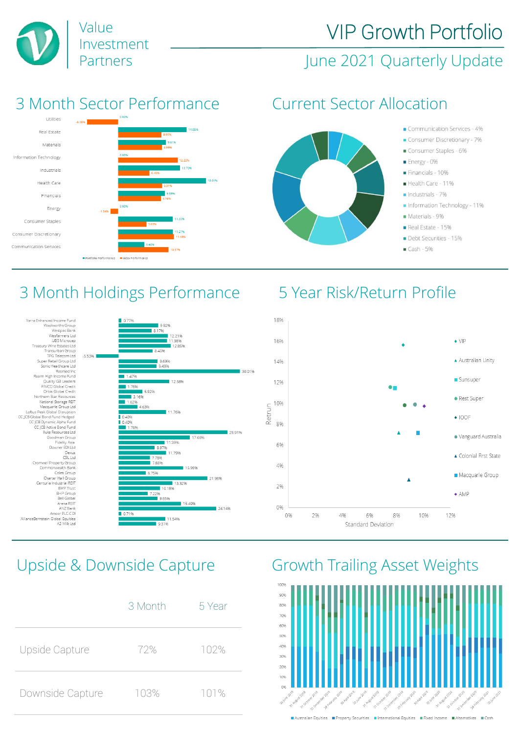

# VIP Growth Portfolio

### Partners **Market Elding Struth Struth Partners** June 2021 Quarterly Update

### 3 Month Sector Performance Current Sector Allocation





### Communication Services - 4%

- Consumer Discretionary 7%
- Consumer Staples 6%
- Energy 0%
- Financials 10%
- Health Care 11%
- $\blacksquare$ Industrials 7%
- Information Technology 11%
- Materials 9%
- Real Estate 15%
- Debt Securities 15%
- $Cash 5%$

## 3 Month Holdings Performance 5 Year Risk/Return Profile





|                  | 3 Month | 5 Year |
|------------------|---------|--------|
| Upside Capture   | 72%     | 102%   |
| Downside Capture | 103%    | 101%   |